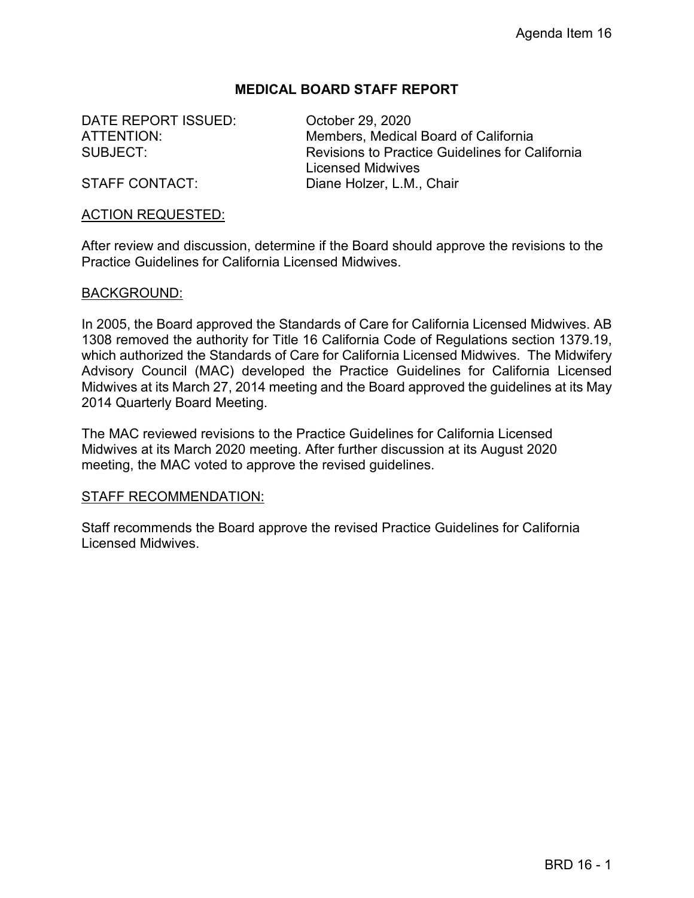### **MEDICAL BOARD STAFF REPORT**

DATE REPORT ISSUED: Corober 29, 2020

ATTENTION: Members, Medical Board of California SUBJECT: Revisions to Practice Guidelines for California Licensed Midwives STAFF CONTACT: Diane Holzer, L.M., Chair

#### ACTION REQUESTED:

After review and discussion, determine if the Board should approve the revisions to the Practice Guidelines for California Licensed Midwives.

#### BACKGROUND:

In 2005, the Board approved the Standards of Care for California Licensed Midwives. AB 1308 removed the authority for Title 16 California Code of Regulations section 1379.19, which authorized the Standards of Care for California Licensed Midwives. The Midwifery Advisory Council (MAC) developed the Practice Guidelines for California Licensed Midwives at its March 27, 2014 meeting and the Board approved the guidelines at its May 2014 Quarterly Board Meeting.

The MAC reviewed revisions to the Practice Guidelines for California Licensed Midwives at its March 2020 meeting. After further discussion at its August 2020 meeting, the MAC voted to approve the revised guidelines.

#### STAFF RECOMMENDATION:

Staff recommends the Board approve the revised Practice Guidelines for California Licensed Midwives.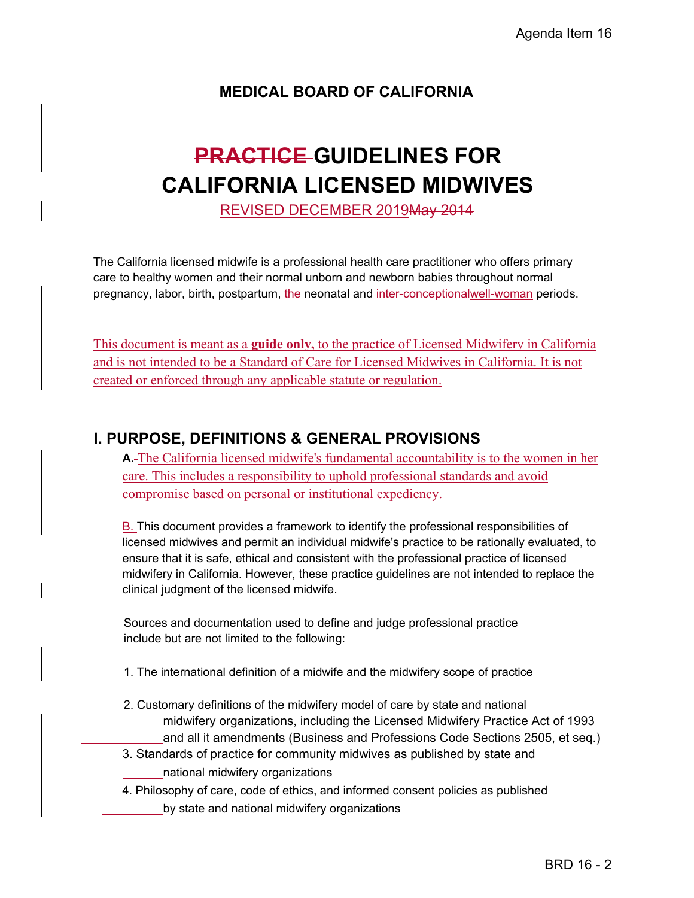# **MEDICAL BOARD OF CALIFORNIA**

# **PRACTICE GUIDELINES FOR CALIFORNIA LICENSED MIDWIVES**

REVISED DECEMBER 2019May 2014

The California licensed midwife is a professional health care practitioner who offers primary care to healthy women and their normal unborn and newborn babies throughout normal pregnancy, labor, birth, postpartum, the neonatal and inter-conceptionalwell-woman periods.

This document is meant as a **guide only,** to the practice of Licensed Midwifery in California and is not intended to be a Standard of Care for Licensed Midwives in California. It is not created or enforced through any applicable statute or regulation.

# **I. PURPOSE, DEFINITIONS & GENERAL PROVISIONS**

**A.** The California licensed midwife's fundamental accountability is to the women in her care. This includes a responsibility to uphold professional standards and avoid compromise based on personal or institutional expediency.

B. This document provides a framework to identify the professional responsibilities of licensed midwives and permit an individual midwife's practice to be rationally evaluated, to ensure that it is safe, ethical and consistent with the professional practice of licensed midwifery in California. However, these practice guidelines are not intended to replace the clinical judgment of the licensed midwife.

Sources and documentation used to define and judge professional practice include but are not limited to the following:

- 1. The international definition of a midwife and the midwifery scope of practice
- 2. Customary definitions of the midwifery model of care by state and national
	- midwifery organizations, including the Licensed Midwifery Practice Act of 1993
	- and all it amendments (Business and Professions Code Sections 2505, et seq.)
- 3. Standards of practice for community midwives as published by state and national midwifery organizations
- 4. Philosophy of care, code of ethics, and informed consent policies as published by state and national midwifery organizations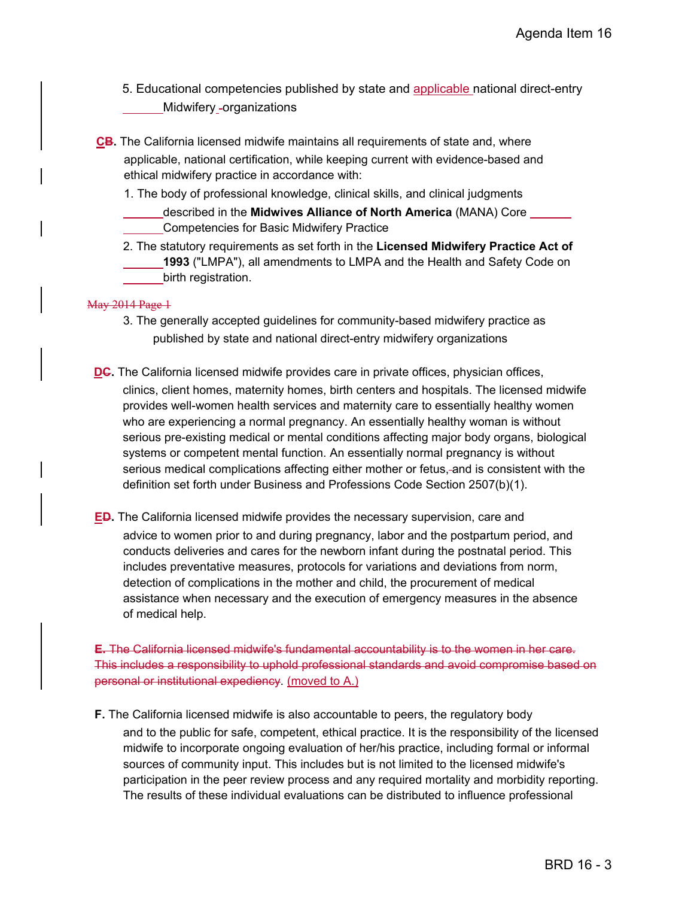- 5. Educational competencies published by state and applicable national direct-entry Midwifery -organizations
- **CB.** The California licensed midwife maintains all requirements of state and, where applicable, national certification, while keeping current with evidence-based and ethical midwifery practice in accordance with:
	- 1. The body of professional knowledge, clinical skills, and clinical judgments
		- described in the **Midwives Alliance of North America** (MANA) Core Competencies for Basic Midwifery Practice
	- 2. The statutory requirements as set forth in the **Licensed Midwifery Practice Act of 1993** ("LMPA"), all amendments to LMPA and the Health and Safety Code on birth registration.

#### May 2014 Page 1

- 3. The generally accepted guidelines for community-based midwifery practice as published by state and national direct-entry midwifery organizations
- **DC.** The California licensed midwife provides care in private offices, physician offices, clinics, client homes, maternity homes, birth centers and hospitals. The licensed midwife provides well-women health services and maternity care to essentially healthy women who are experiencing a normal pregnancy. An essentially healthy woman is without serious pre-existing medical or mental conditions affecting major body organs, biological systems or competent mental function. An essentially normal pregnancy is without serious medical complications affecting either mother or fetus, and is consistent with the definition set forth under Business and Professions Code Section 2507(b)(1).
- **ED.** The California licensed midwife provides the necessary supervision, care and advice to women prior to and during pregnancy, labor and the postpartum period, and conducts deliveries and cares for the newborn infant during the postnatal period. This includes preventative measures, protocols for variations and deviations from norm, detection of complications in the mother and child, the procurement of medical assistance when necessary and the execution of emergency measures in the absence of medical help.

**E.** The California licensed midwife's fundamental accountability is to the women in her care. This includes a responsibility to uphold professional standards and avoid compromise based on personal or institutional expediency. (moved to A.)

**F.** The California licensed midwife is also accountable to peers, the regulatory body

and to the public for safe, competent, ethical practice. It is the responsibility of the licensed midwife to incorporate ongoing evaluation of her/his practice, including formal or informal sources of community input. This includes but is not limited to the licensed midwife's participation in the peer review process and any required mortality and morbidity reporting. The results of these individual evaluations can be distributed to influence professional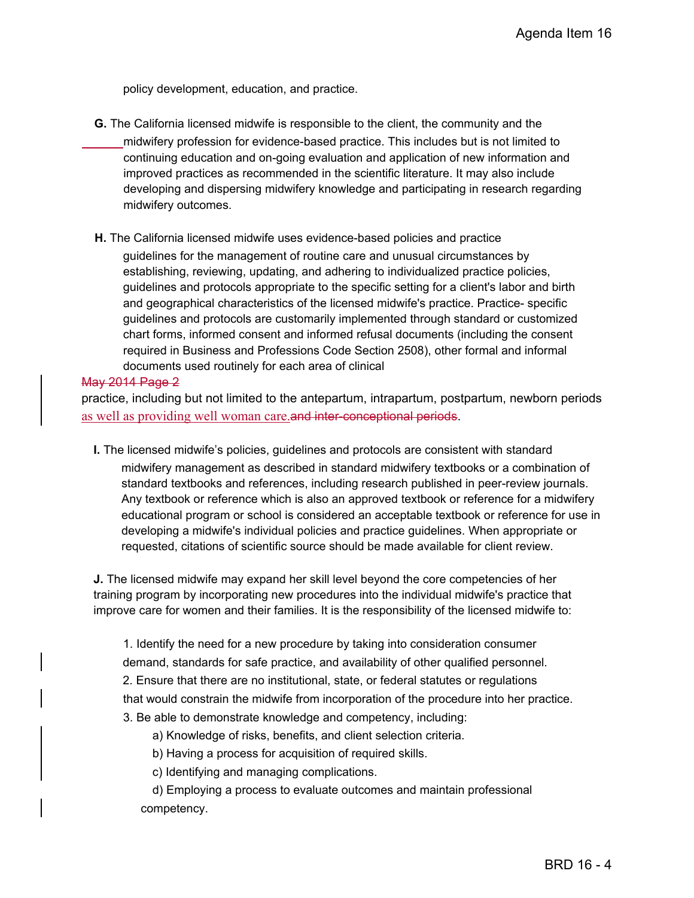policy development, education, and practice.

- **G.** The California licensed midwife is responsible to the client, the community and the midwifery profession for evidence-based practice. This includes but is not limited to continuing education and on-going evaluation and application of new information and improved practices as recommended in the scientific literature. It may also include developing and dispersing midwifery knowledge and participating in research regarding midwifery outcomes.
- **H.** The California licensed midwife uses evidence-based policies and practice

guidelines for the management of routine care and unusual circumstances by establishing, reviewing, updating, and adhering to individualized practice policies, guidelines and protocols appropriate to the specific setting for a client's labor and birth and geographical characteristics of the licensed midwife's practice. Practice- specific guidelines and protocols are customarily implemented through standard or customized chart forms, informed consent and informed refusal documents (including the consent required in Business and Professions Code Section 2508), other formal and informal documents used routinely for each area of clinical

#### May 2014 Page 2

practice, including but not limited to the antepartum, intrapartum, postpartum, newborn periods as well as providing well woman care.and inter-conceptional periods.

**I.** The licensed midwife's policies, guidelines and protocols are consistent with standard midwifery management as described in standard midwifery textbooks or a combination of standard textbooks and references, including research published in peer-review journals. Any textbook or reference which is also an approved textbook or reference for a midwifery educational program or school is considered an acceptable textbook or reference for use in developing a midwife's individual policies and practice guidelines. When appropriate or requested, citations of scientific source should be made available for client review.

**J.** The licensed midwife may expand her skill level beyond the core competencies of her training program by incorporating new procedures into the individual midwife's practice that improve care for women and their families. It is the responsibility of the licensed midwife to:

1. Identify the need for a new procedure by taking into consideration consumer demand, standards for safe practice, and availability of other qualified personnel. 2. Ensure that there are no institutional, state, or federal statutes or regulations that would constrain the midwife from incorporation of the procedure into her practice. 3. Be able to demonstrate knowledge and competency, including:

a) Knowledge of risks, benefits, and client selection criteria.

b) Having a process for acquisition of required skills.

c) Identifying and managing complications.

d) Employing a process to evaluate outcomes and maintain professional competency.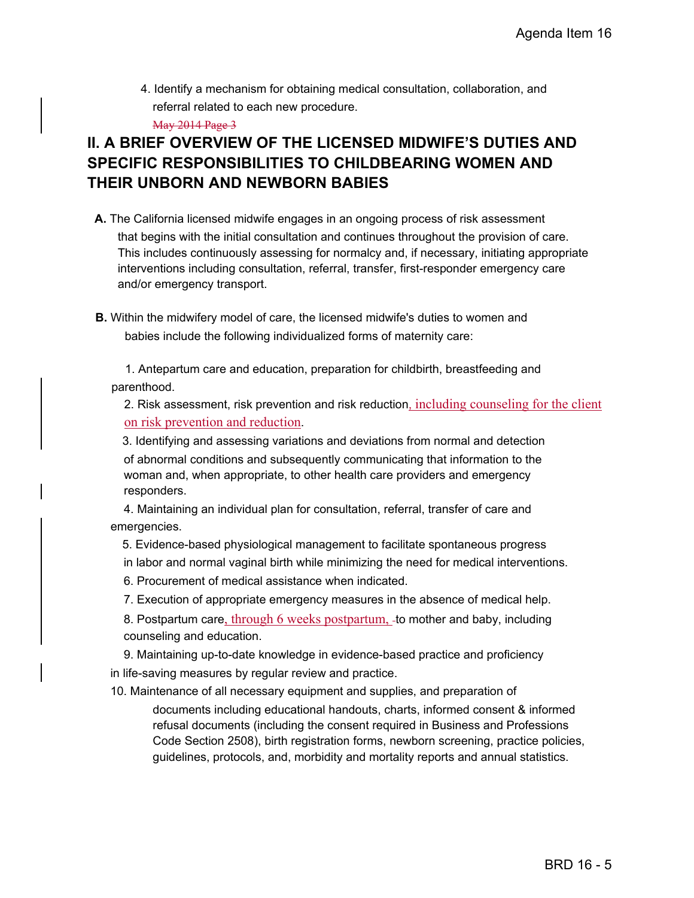4. Identify a mechanism for obtaining medical consultation, collaboration, and referral related to each new procedure.

May 2014 Page 3

# **II. A BRIEF OVERVIEW OF THE LICENSED MIDWIFE'S DUTIES AND SPECIFIC RESPONSIBILITIES TO CHILDBEARING WOMEN AND THEIR UNBORN AND NEWBORN BABIES**

- **A.** The California licensed midwife engages in an ongoing process of risk assessment that begins with the initial consultation and continues throughout the provision of care. This includes continuously assessing for normalcy and, if necessary, initiating appropriate interventions including consultation, referral, transfer, first-responder emergency care and/or emergency transport.
- **B.** Within the midwifery model of care, the licensed midwife's duties to women and babies include the following individualized forms of maternity care:

1. Antepartum care and education, preparation for childbirth, breastfeeding and parenthood.

2. Risk assessment, risk prevention and risk reduction, including counseling for the client on risk prevention and reduction.

3. Identifying and assessing variations and deviations from normal and detection of abnormal conditions and subsequently communicating that information to the woman and, when appropriate, to other health care providers and emergency responders.

4. Maintaining an individual plan for consultation, referral, transfer of care and emergencies.

- 5. Evidence-based physiological management to facilitate spontaneous progress
- in labor and normal vaginal birth while minimizing the need for medical interventions.

6. Procurement of medical assistance when indicated.

7. Execution of appropriate emergency measures in the absence of medical help.

8. Postpartum care, through 6 weeks postpartum, to mother and baby, including counseling and education.

9. Maintaining up-to-date knowledge in evidence-based practice and proficiency in life-saving measures by regular review and practice.

10. Maintenance of all necessary equipment and supplies, and preparation of documents including educational handouts, charts, informed consent & informed refusal documents (including the consent required in Business and Professions Code Section 2508), birth registration forms, newborn screening, practice policies,

guidelines, protocols, and, morbidity and mortality reports and annual statistics.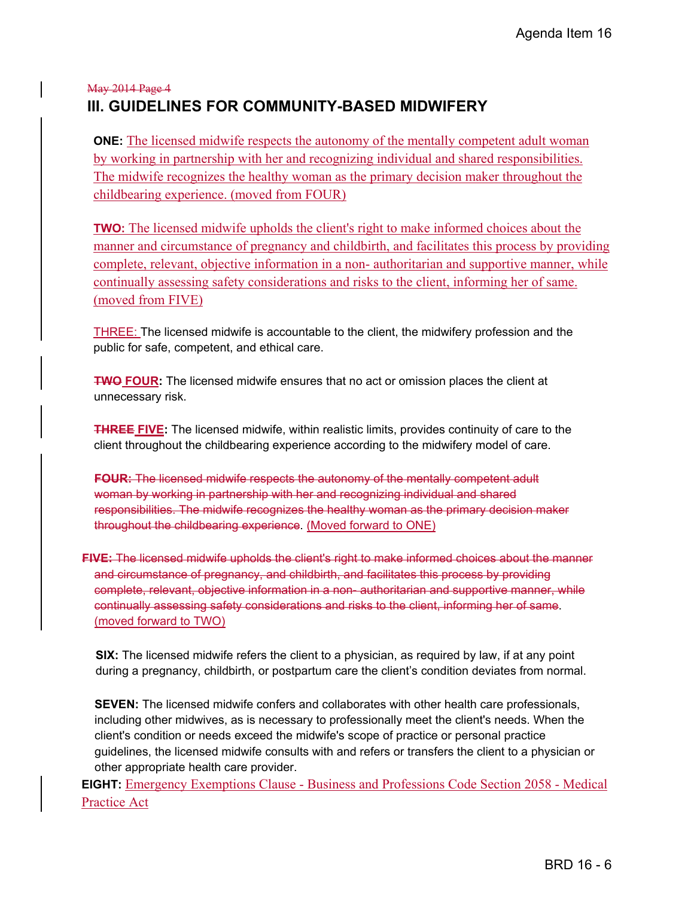# May 2014 Page 4 **III. GUIDELINES FOR COMMUNITY-BASED MIDWIFERY**

**ONE:** The licensed midwife respects the autonomy of the mentally competent adult woman by working in partnership with her and recognizing individual and shared responsibilities. The midwife recognizes the healthy woman as the primary decision maker throughout the childbearing experience. (moved from FOUR)

**TWO:** The licensed midwife upholds the client's right to make informed choices about the manner and circumstance of pregnancy and childbirth, and facilitates this process by providing complete, relevant, objective information in a non- authoritarian and supportive manner, while continually assessing safety considerations and risks to the client, informing her of same. (moved from FIVE)

THREE: The licensed midwife is accountable to the client, the midwifery profession and the public for safe, competent, and ethical care.

**TWO FOUR:** The licensed midwife ensures that no act or omission places the client at unnecessary risk.

**THREE FIVE:** The licensed midwife, within realistic limits, provides continuity of care to the client throughout the childbearing experience according to the midwifery model of care.

**FOUR:** The licensed midwife respects the autonomy of the mentally competent adult woman by working in partnership with her and recognizing individual and shared responsibilities. The midwife recognizes the healthy woman as the primary decision maker throughout the childbearing experience. (Moved forward to ONE)

**FIVE:** The licensed midwife upholds the client's right to make informed choices about the manner and circumstance of pregnancy, and childbirth, and facilitates this process by providing complete, relevant, objective information in a non- authoritarian and supportive manner, while continually assessing safety considerations and risks to the client, informing her of same. (moved forward to TWO)

**SIX:** The licensed midwife refers the client to a physician, as required by law, if at any point during a pregnancy, childbirth, or postpartum care the client's condition deviates from normal.

**SEVEN:** The licensed midwife confers and collaborates with other health care professionals, including other midwives, as is necessary to professionally meet the client's needs. When the client's condition or needs exceed the midwife's scope of practice or personal practice guidelines, the licensed midwife consults with and refers or transfers the client to a physician or other appropriate health care provider.

**EIGHT:** Emergency Exemptions Clause - Business and Professions Code Section 2058 - Medical Practice Act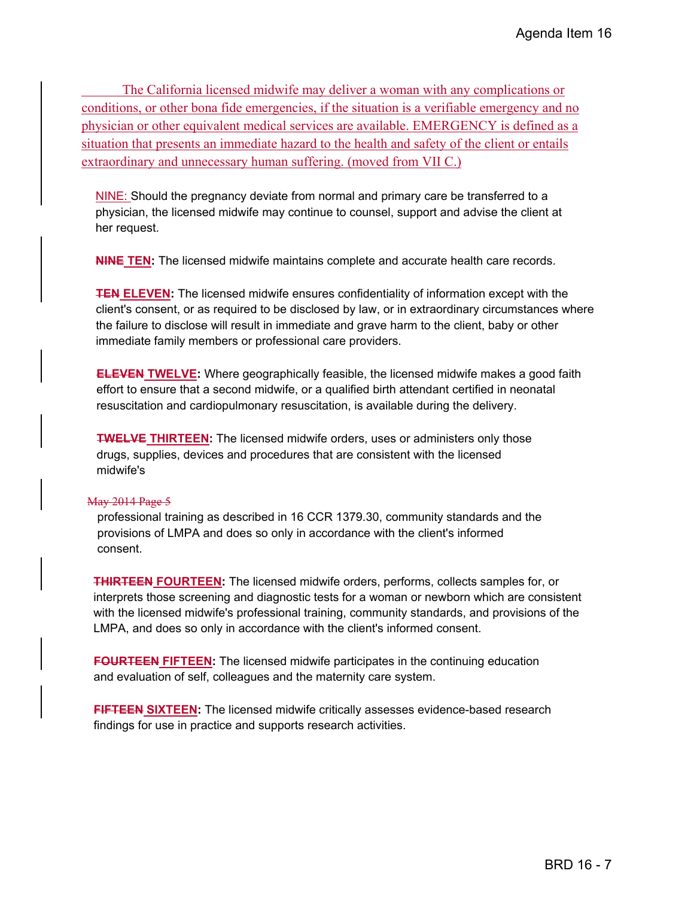The California licensed midwife may deliver a woman with any complications or conditions, or other bona fide emergencies, if the situation is a verifiable emergency and no physician or other equivalent medical services are available. EMERGENCY is defined as a situation that presents an immediate hazard to the health and safety of the client or entails extraordinary and unnecessary human suffering. (moved from VII C.)

NINE: Should the pregnancy deviate from normal and primary care be transferred to a physician, the licensed midwife may continue to counsel, support and advise the client at her request.

**NINE TEN:** The licensed midwife maintains complete and accurate health care records.

**TEN ELEVEN:** The licensed midwife ensures confidentiality of information except with the client's consent, or as required to be disclosed by law, or in extraordinary circumstances where the failure to disclose will result in immediate and grave harm to the client, baby or other immediate family members or professional care providers.

**ELEVEN TWELVE:** Where geographically feasible, the licensed midwife makes a good faith effort to ensure that a second midwife, or a qualified birth attendant certified in neonatal resuscitation and cardiopulmonary resuscitation, is available during the delivery.

**TWELVE THIRTEEN:** The licensed midwife orders, uses or administers only those drugs, supplies, devices and procedures that are consistent with the licensed midwife's

#### May 2014 Page 5

professional training as described in 16 CCR 1379.30, community standards and the provisions of LMPA and does so only in accordance with the client's informed consent.

**THIRTEEN FOURTEEN:** The licensed midwife orders, performs, collects samples for, or interprets those screening and diagnostic tests for a woman or newborn which are consistent with the licensed midwife's professional training, community standards, and provisions of the LMPA, and does so only in accordance with the client's informed consent.

**FOURTEEN FIFTEEN:** The licensed midwife participates in the continuing education and evaluation of self, colleagues and the maternity care system.

**FIFTEEN SIXTEEN:** The licensed midwife critically assesses evidence-based research findings for use in practice and supports research activities.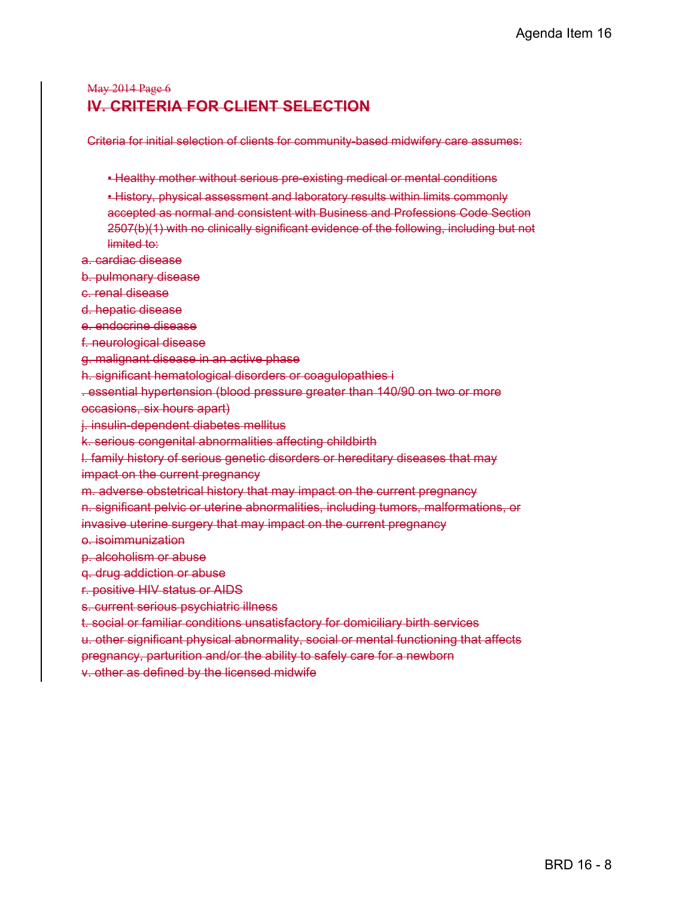## May 2014 Page 6 **IV. CRITERIA FOR CLIENT SELECTION**

Criteria for initial selection of clients for community-based midwifery care assumes:

- Healthy mother without serious pre-existing medical or mental conditions
- History, physical assessment and laboratory results within limits commonly accepted as normal and consistent with Business and Professions Code Section 2507(b)(1) with no clinically significant evidence of the following, including but not limited to:

a. cardiac disease

b. pulmonary disease

c. renal disease

d. hepatic disease

e. endocrine disease

f. neurological disease

g. malignant disease in an active phase

h. significant hematological disorders or coagulopathies i

. essential hypertension (blood pressure greater than 140/90 on two or more

occasions, six hours apart)

j. insulin-dependent diabetes mellitus

k. serious congenital abnormalities affecting childbirth

l. family history of serious genetic disorders or hereditary diseases that may impact on the current pregnancy

m. adverse obstetrical history that may impact on the current pregnancy

n. significant pelvic or uterine abnormalities, including tumors, malformations, or

invasive uterine surgery that may impact on the current pregnancy

o. isoimmunization

p. alcoholism or abuse

q. drug addiction or abuse

r. positive HIV status or AIDS

s. current serious psychiatric illness

t. social or familiar conditions unsatisfactory for domiciliary birth services

u. other significant physical abnormality, social or mental functioning that affects

pregnancy, parturition and/or the ability to safely care for a newborn

v. other as defined by the licensed midwife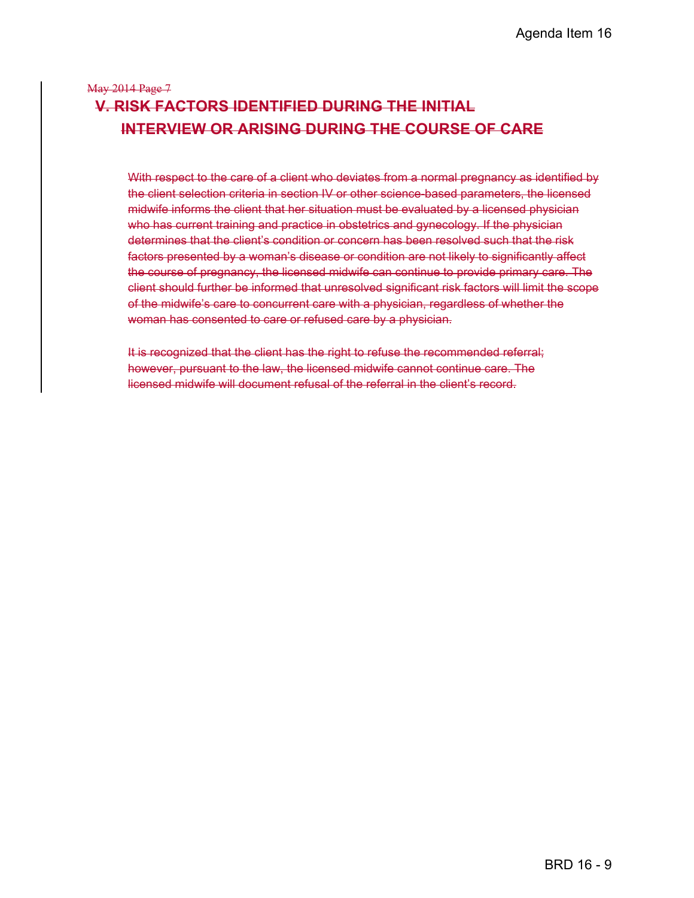# May 2014 Page 7 **V. RISK FACTORS IDENTIFIED DURING THE INITIAL INTERVIEW OR ARISING DURING THE COURSE OF CARE**

With respect to the care of a client who deviates from a normal pregnancy as identified by the client selection criteria in section IV or other science-based parameters, the licensed midwife informs the client that her situation must be evaluated by a licensed physician who has current training and practice in obstetrics and gynecology. If the physician determines that the client's condition or concern has been resolved such that the risk factors presented by a woman's disease or condition are not likely to significantly affect the course of pregnancy, the licensed midwife can continue to provide primary care. The client should further be informed that unresolved significant risk factors will limit the scope of the midwife's care to concurrent care with a physician, regardless of whether the woman has consented to care or refused care by a physician.

It is recognized that the client has the right to refuse the recommended referral; however, pursuant to the law, the licensed midwife cannot continue care. The licensed midwife will document refusal of the referral in the client's record.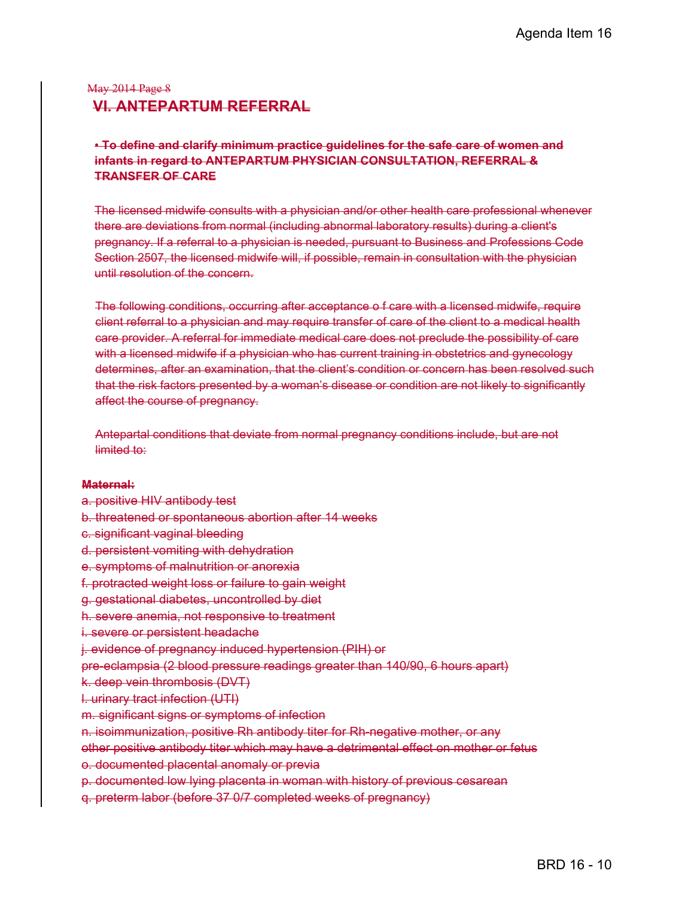## May 2014 Page 8 **VI. ANTEPARTUM REFERRAL**

#### • **To define and clarify minimum practice guidelines for the safe care of women and infants in regard to ANTEPARTUM PHYSICIAN CONSULTATION, REFERRAL & TRANSFER OF CARE**

The licensed midwife consults with a physician and/or other health care professional whenever there are deviations from normal (including abnormal laboratory results) during a client's pregnancy. If a referral to a physician is needed, pursuant to Business and Professions Code Section 2507, the licensed midwife will, if possible, remain in consultation with the physician until resolution of the concern.

The following conditions, occurring after acceptance o f care with a licensed midwife, require client referral to a physician and may require transfer of care of the client to a medical health care provider. A referral for immediate medical care does not preclude the possibility of care with a licensed midwife if a physician who has current training in obstetrics and gynecology determines, after an examination, that the client's condition or concern has been resolved such that the risk factors presented by a woman's disease or condition are not likely to significantly affect the course of pregnancy.

Antepartal conditions that deviate from normal pregnancy conditions include, but are not limited to:

#### **Maternal:**

- a. positive HIV antibody test
- b. threatened or spontaneous abortion after 14 weeks
- c. significant vaginal bleeding
- d. persistent vomiting with dehydration
- e. symptoms of malnutrition or anorexia
- f. protracted weight loss or failure to gain weight
- g. gestational diabetes, uncontrolled by diet
- h. severe anemia, not responsive to treatment
- i. severe or persistent headache
- j. evidence of pregnancy induced hypertension (PIH) or
- pre-eclampsia (2 blood pressure readings greater than 140/90, 6 hours apart)

k. deep vein thrombosis (DVT)

- l. urinary tract infection (UTI)
- m. significant signs or symptoms of infection
- n. isoimmunization, positive Rh antibody titer for Rh-negative mother, or any

other positive antibody titer which may have a detrimental effect on mother or fetus

- o. documented placental anomaly or previa
- p. documented low lying placenta in woman with history of previous cesarean
- q. preterm labor (before 37 0/7 completed weeks of pregnancy)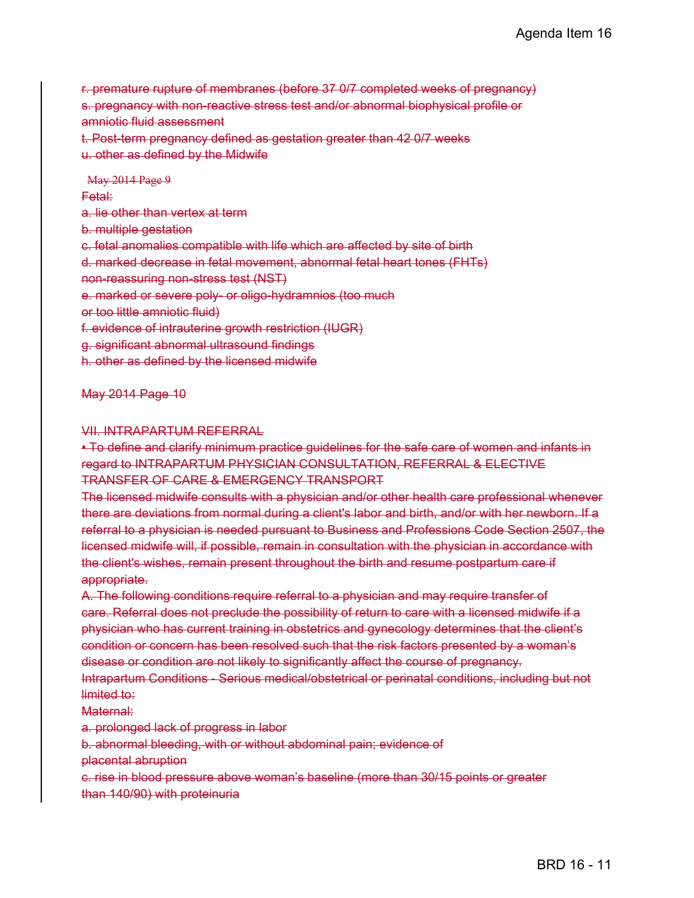r. premature rupture of membranes (before 37 0/7 completed weeks of pregnancy) s. pregnancy with non-reactive stress test and/or abnormal biophysical profile or amniotic fluid assessment t. Post-term pregnancy defined as gestation greater than 42 0/7 weeks u. other as defined by the Midwife

May 2014 Page 9 Fetal: a. lie other than vertex at term b. multiple gestation c. fetal anomalies compatible with life which are affected by site of birth d. marked decrease in fetal movement, abnormal fetal heart tones (FHTs) non-reassuring non-stress test (NST) e. marked or severe poly- or oligo-hydramnios (too much or too little amniotic fluid) f. evidence of intrauterine growth restriction (IUGR) g. significant abnormal ultrasound findings h. other as defined by the licensed midwife

#### May 2014 Page 10

#### VII. INTRAPARTUM REFERRAL

• To define and clarify minimum practice guidelines for the safe care of women and infants in regard to INTRAPARTUM PHYSICIAN CONSULTATION, REFERRAL & ELECTIVE TRANSFER OF CARE & EMERGENCY TRANSPORT

The licensed midwife consults with a physician and/or other health care professional whenever there are deviations from normal during a client's labor and birth, and/or with her newborn. If a referral to a physician is needed pursuant to Business and Professions Code Section 2507, the licensed midwife will, if possible, remain in consultation with the physician in accordance with the client's wishes, remain present throughout the birth and resume postpartum care if appropriate.

A. The following conditions require referral to a physician and may require transfer of care. Referral does not preclude the possibility of return to care with a licensed midwife if a physician who has current training in obstetrics and gynecology determines that the client's condition or concern has been resolved such that the risk factors presented by a woman's disease or condition are not likely to significantly affect the course of pregnancy. Intrapartum Conditions - Serious medical/obstetrical or perinatal conditions, including but not limited to:

#### Maternal:

a. prolonged lack of progress in labor

b. abnormal bleeding, with or without abdominal pain; evidence of

placental abruption

c. rise in blood pressure above woman's baseline (more than 30/15 points or greater than 140/90) with proteinuria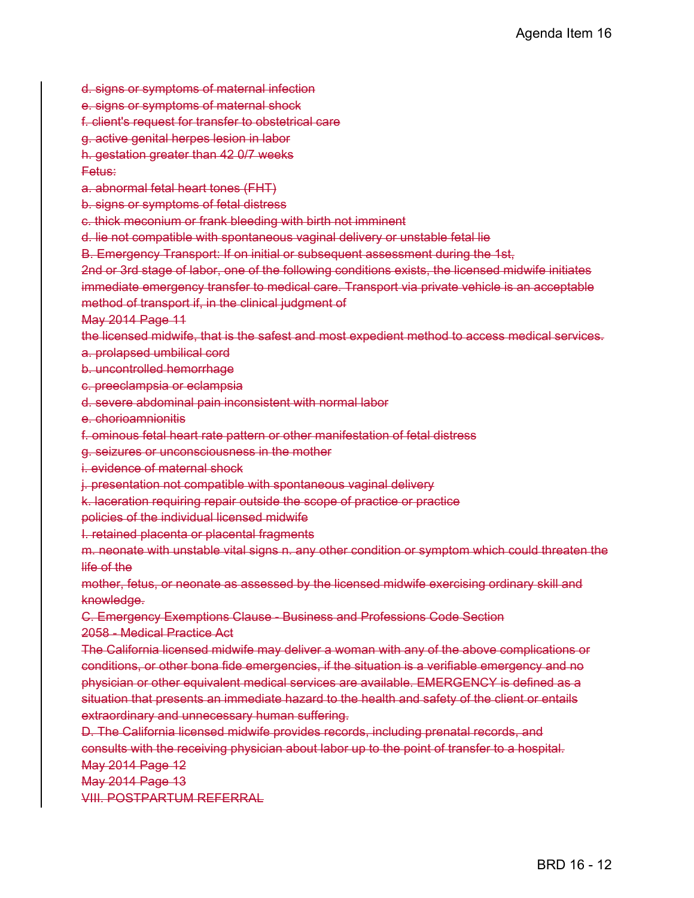d. signs or symptoms of maternal infection

e. signs or symptoms of maternal shock

f. client's request for transfer to obstetrical care

g. active genital herpes lesion in labor

h. gestation greater than 42 0/7 weeks

#### Fetus:

a. abnormal fetal heart tones (FHT)

b. signs or symptoms of fetal distress

c. thick meconium or frank bleeding with birth not imminent

d. lie not compatible with spontaneous vaginal delivery or unstable fetal lie

B. Emergency Transport: If on initial or subsequent assessment during the 1st,

2nd or 3rd stage of labor, one of the following conditions exists, the licensed midwife initiates immediate emergency transfer to medical care. Transport via private vehicle is an acceptable method of transport if, in the clinical judgment of

May 2014 Page 11

the licensed midwife, that is the safest and most expedient method to access medical services.

a. prolapsed umbilical cord

b. uncontrolled hemorrhage

c. preeclampsia or eclampsia

d. severe abdominal pain inconsistent with normal labor

e. chorioamnionitis

f. ominous fetal heart rate pattern or other manifestation of fetal distress

g. seizures or unconsciousness in the mother

i. evidence of maternal shock

j. presentation not compatible with spontaneous vaginal delivery

k. laceration requiring repair outside the scope of practice or practice

policies of the individual licensed midwife

I. retained placenta or placental fragments

m. neonate with unstable vital signs n. any other condition or symptom which could threaten the life of the

mother, fetus, or neonate as assessed by the licensed midwife exercising ordinary skill and knowledge.

C. Emergency Exemptions Clause - Business and Professions Code Section 2058 - Medical Practice Act

The California licensed midwife may deliver a woman with any of the above complications or conditions, or other bona fide emergencies, if the situation is a verifiable emergency and no physician or other equivalent medical services are available. EMERGENCY is defined as a situation that presents an immediate hazard to the health and safety of the client or entails extraordinary and unnecessary human suffering.

D. The California licensed midwife provides records, including prenatal records, and consults with the receiving physician about labor up to the point of transfer to a hospital.

May 2014 Page 12

May 2014 Page 13

VIII. POSTPARTUM REFERRAL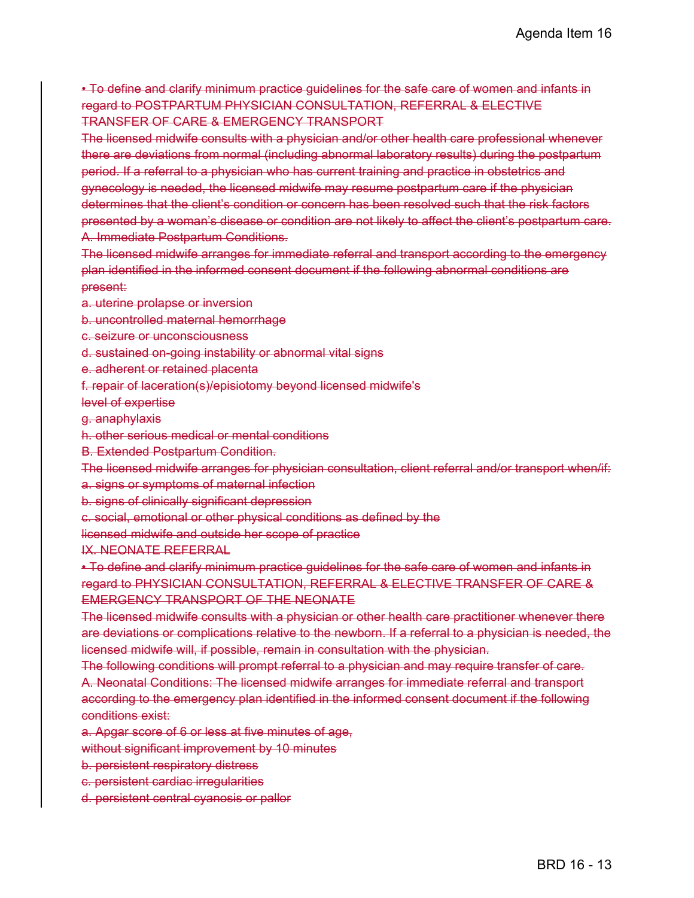• To define and clarify minimum practice guidelines for the safe care of women and infants in regard to POSTPARTUM PHYSICIAN CONSULTATION, REFERRAL & ELECTIVE TRANSFER OF CARE & EMERGENCY TRANSPORT

The licensed midwife consults with a physician and/or other health care professional whenever there are deviations from normal (including abnormal laboratory results) during the postpartum period. If a referral to a physician who has current training and practice in obstetrics and gynecology is needed, the licensed midwife may resume postpartum care if the physician determines that the client's condition or concern has been resolved such that the risk factors presented by a woman's disease or condition are not likely to affect the client's postpartum care. A. Immediate Postpartum Conditions.

The licensed midwife arranges for immediate referral and transport according to the emergency plan identified in the informed consent document if the following abnormal conditions are present:

a. uterine prolapse or inversion

b. uncontrolled maternal hemorrhage

c. seizure or unconsciousness

d. sustained on-going instability or abnormal vital signs

e. adherent or retained placenta

f. repair of laceration(s)/episiotomy beyond licensed midwife's

level of expertise

g. anaphylaxis

h. other serious medical or mental conditions

B. Extended Postpartum Condition.

The licensed midwife arranges for physician consultation, client referral and/or transport when/if: a. signs or symptoms of maternal infection

b. signs of clinically significant depression

c. social, emotional or other physical conditions as defined by the

licensed midwife and outside her scope of practice

IX. NEONATE REFERRAL

• To define and clarify minimum practice guidelines for the safe care of women and infants in regard to PHYSICIAN CONSULTATION, REFERRAL & ELECTIVE TRANSFER OF CARE & EMERGENCY TRANSPORT OF THE NEONATE

The licensed midwife consults with a physician or other health care practitioner whenever there are deviations or complications relative to the newborn. If a referral to a physician is needed, the licensed midwife will, if possible, remain in consultation with the physician.

The following conditions will prompt referral to a physician and may require transfer of care. A. Neonatal Conditions: The licensed midwife arranges for immediate referral and transport according to the emergency plan identified in the informed consent document if the following conditions exist:

a. Apgar score of 6 or less at five minutes of age,

without significant improvement by 10 minutes

b. persistent respiratory distress

- c. persistent cardiac irregularities
- d. persistent central cyanosis or pallor